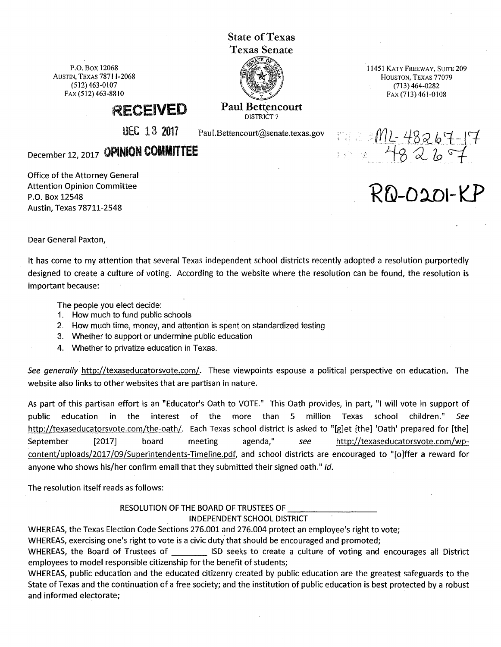State of Texas Texas Senate

P.O. Box 12068 AUSTIN, TEXAS 78711-2068 (512) 463-0107 FAX (512) 463-8810

Paul Bettencourt

11451 KATY FREEWAY, SUITE209 HOUSTON, TEXAS 77079 (713) 464-0282 FAX (713) 461-0108

RECEIVED

UEC  $13$  2017 Paul.Bettencourt@senate.texas.gov

DISTRICT?

December 12, 2017 OPINION **COMMITTEE** 

Office of the Attorney General Attention Opinion Committee P.O. Box 12548 Austin, Texas 78711-2548

 $R$ *D-0201-KF* 

FIE 2 ML- 48267-17

Dear General Paxton,

It has come to my attention that several Texas independent school districts recently adopted a resolution purportedly designed to create a culture of voting. According to the website where the resolution can be found, the resolution is important because:

The people you elect decide:

- 1. How much to fund public schools
- 2. How much time, money, and attention is spent on standardized testing
- 3. Whether to support or undermine public education
- 4. Whether to privatize education in Texas.

See generally http://texaseducatorsvote.com/. These viewpoints espouse a political perspective on education. The website also links to other websites that are partisan in nature.

As part of this partisan effort is an "Educator's Oath to VOTE." This Oath provides, in part, "I will vote in support of public education in the interest of the more than 5 million Texas school children." See http://texaseducatorsvote.com/the-oath/. Each Texas school district is asked to "[g]et [the] 'Oath' prepared for [the] September [2017] board meeting agenda," see http://texaseducatorsvote.com/wpcontent/uploads/2017/09/Superintendents-Timeline.pdf, and school districts are encouraged to "[o]ffer a reward for anyone who shows his/her confirm email that they submitted their signed oath." Id.

The resolution itself reads as follows:

RESOLUTION OF THE BOARD OF TRUSTEES OF

## INDEPENDENT SCHOOL DISTRICT

WHEREAS, the Texas Election Code Sections 276.001 and 276.004 protect an employee's right to vote;

WHEREAS, exercising one's right to vote is a civic duty that should be encouraged and promoted;

WHEREAS, the Board of Trustees of **Netwist 20 Seeks to create a culture of voting and encourages all District** employees to model responsible citizenship for the benefit of students;

WHEREAS, public education and the educated citizenry created by public education are the greatest safeguards to the State of Texas and the continuation of a free society; and the institution of public education is best protected by a robust and informed electorate;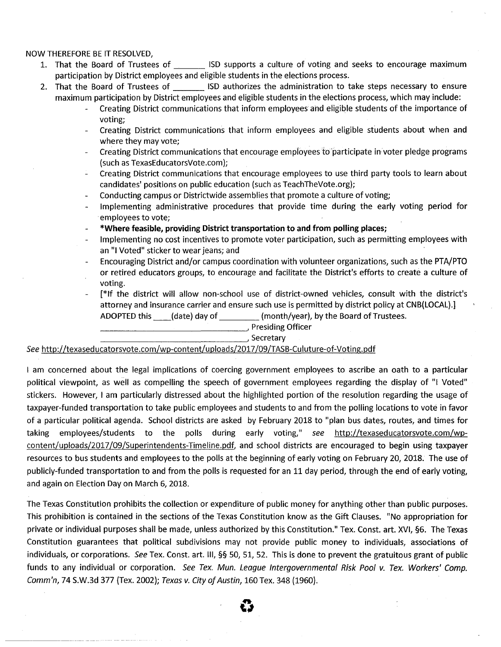## NOW THEREFORE BE IT RESOLVED,

- 1. That the Board of Trustees of **ISD** supports a culture of voting and seeks to encourage maximum participation by District employees and eligible students in the elections process.
- 2. That the Board of Trustees of **Exercise ISD** authorizes the administration to take steps necessary to ensure maximum participation by District employees and eligible students in the elections process, which may include:
	- Creating District communications that inform employees and eligible students of the importance of voting;
	- Creating District communications that inform employees and eligible students about when and  $\sim$ where they may vote;
	- Creating District communications that encourage employees to participate in voter pledge programs (such as TexasEducatorsVote.com);
	- Creating District communications that encourage employees to use third party tools to learn about candidates' positions on public education (such as TeachTheVote.org);
	- Conducting campus or Districtwide assemblies that promote a culture of voting;  $\sim$
	- Implementing administrative procedures that provide time during the early voting period for employees to vote;
	- **\*Where feasible, providing District transportation to and from polling places;**
	- Implementing no cost incentives to promote voter participation, such as permitting employees with an "I Voted" sticker to wear jeans; and
	- Encouraging District and/or campus coordination with volunteer organizations, such as the PTA/PTO or retired educators groups, to encourage and facilitate the District's efforts to create a culture of voting.
	- [\*If the district will allow non-school use of district-owned vehicles, consult with the district's attorney and insurance carrier and ensure such use is permitted by district policy at CNB(LOCAL).] ADOPTED this \_\_ (date) day of \_\_\_\_ (month/year), by the Board of Trustees. --------------~ Presiding Officer \_\_\_\_\_\_\_\_\_\_\_\_\_\_ \_\_,Secretary

See http://texaseducatorsvote.com/wp-content/uploads/2017 /09/TASB-Culuture-of-Voting.pdf

I am concerned about the legal implications of coercing government employees to ascribe an oath to a particular political viewpoint, as well as compelling the speech of government employees regarding the display of "I Voted" stickers. However, I am particularly distressed about the highlighted portion of the resolution regarding the usage of taxpayer-funded transportation to take public employees and students to and from the polling locations to vote in favor of a particular political agenda. School districts are asked by February 2018 to "plan bus dates, routes, and times for taking employees/students to the polls during early voting," see http://texaseducatorsvote.com/wpcontent/uploads/2017 /09/Superintendents-Timeline.pdf, and school districts are encouraged to begin using taxpayer resources to bus students and employees to the polls at the beginning of early voting on February 20, 2018. The use of publicly-funded transportation to and from the polls is requested for an 11 day period, through the end of early voting, and again on Election Day on March 6, 2018.

The Texas Constitution prohibits the collection or expenditure of public money for anything other than public purposes. This prohibition is contained in the sections of the Texas Constitution know as the Gift Clauses. "No appropriation for private or individual purposes shall be made, unless authorized by this Constitution." Tex. Const. art. XVI, §6. The Texas Constitution guarantees that political subdivisions may not provide public money to individuals, associations of individuals, or corporations. See Tex. Const. art. III, §§ 50, 51, 52. This is done to prevent the gratuitous grant of public funds to any individual or corporation. See Tex. Mun. League Intergovernmental Risk Pool v. Tex. Workers' Comp. Comm'n, 74 S.W.3d 377 (Tex. 2002); Texas v. City of Austin, 160 Tex. 348 (1960).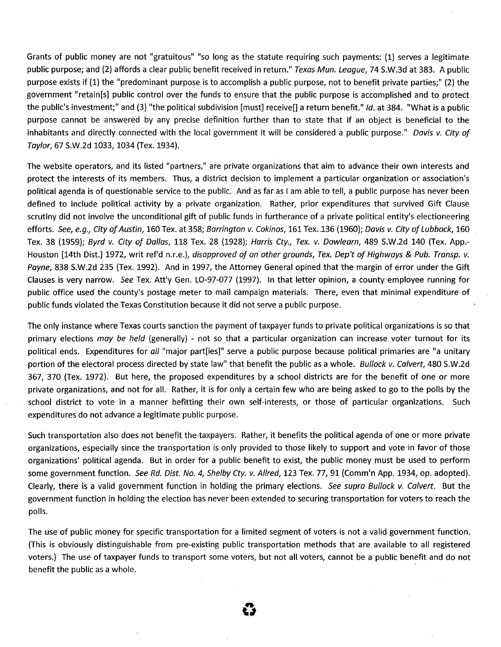Grants of public money are not "gratuitous" "so long as the statute requiring such payments: (1) serves a legitimate public purpose; and (2) affords a clear public benefit received in return." Texas Mun. League, 74 S.W.3d at 383. A public purpose exists if (1) the "predominant purpose is to accomplish a public purpose, not to benefit private parties;" (2) the government "retain[s] public control over the funds to ensure that the public purpose is accomplished and to protect the public's investment;" and (3) "the political subdivision [must] receive[] a return benefit." Id. at 384. "What is a public purpose cannot be answered by any precise definition further than to state that if an object is beneficial to the inhabitants and directly connected with the local government it will be considered a public purpose." Davis v. City of Taylor, 67 S.W.2d 1033, 1034 (Tex. 1934).

The website operators, and its listed "partners," are private organizations that aim to advance their own interests and protect the interests of its members. Thus, a district decision to implement a particular organization or association's political agenda is of questionable service to the public. And as far as I am able to tell, a public purpose has never been defined to include political activity by a private organization. Rather, prior expenditures that survived Gift Clause scrutiny did not involve the unconditional gift of public funds in furtherance of a private political entity's electioneering efforts. See, e.g., City of Austin, 160 Tex. at 358; Barrington v. Cokinos, 161 Tex. 136 (1960); Davis v. City of Lubbock, 160 Tex. 38 (1959); Byrd v. City of Dallas, 118 Tex. 28 (1928); Harris Cty., Tex. v. Dow/earn, 489 S.W.2d 140 (Tex. App.- Houston [14th Dist.] 1972, writ ref'd n.r.e.), disapproved of on other grounds, Tex. Dep't of Highways & Pub. Transp. v. Payne, 838 S.W.2d 235 (Tex. 1992). And in 1997, the Attorney General opined that the margin of error under the Gift Clauses is very narrow. See Tex. Att'y Gen. LO-97-077 (1997). In that letter opinion, a county employee running for public office used' the county's postage meter to mail campaign materials. There, even that minimal expenditure of public funds violated the Texas Constitution because it did not serve a public purpose.

The only instance where Texas courts sanction the payment of taxpayer funds to private political organizations is so that primary elections may be held (generally) - not so that a particular organization can increase voter turnout for its political ends. Expenditures for all "major part[ies]" serve a public purpose because political primaries are "a unitary portion of the electoral process directed by state law" that benefit the public as a whole. Bullock v. Calvert, 480 S.W.2d 367, 370 (Tex. 1972). But here, the proposed expenditures by a school districts are for the benefit of one or more private organizations, and not for all. Rather, it is for only a certain few who are being asked to go to the polls by the school district to vote in a manner befitting their own self-interests, or those of particular organizations. Such expenditures do not advance a legitimate public purpose.

Such transportation also does not benefit the taxpayers. Rather, it benefits the political agenda of one or more private organizations, especially since the transportation is only provided to those likely to support and vote in favor of those organizations' political agenda. But in order for a public benefit to exist, the public money must be used to perform some government function. See Rd. Dist. No. 4, Shelby Cty. v. Allred, 123 Tex. 77, 91 (Comm'n App. 1934, op. adopted). Clearly, there is a valid government function in holding the primary elections. See supra Bullock v. Calvert. But the government function in holding the election has never been extended to securing transportation for voters to reach the polls.

The use of public money for specific transportation for a limited segment of voters is not a valid government function. (This is obviously distinguishable from pre-existing public transportation methods that are available to all registered voters.) The use of taxpayer funds to transport some voters, but not all voters, cannot be a public benefit and do not benefit the public as a whole.